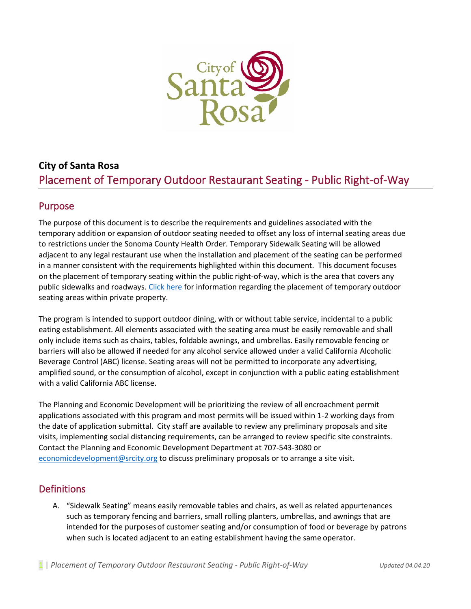

# **City of Santa Rosa**  Placement of Temporary Outdoor Restaurant Seating - Public Right-of-Way

### Purpose

The purpose of this document is to describe the requirements and guidelines associated with the temporary addition or expansion of outdoor seating needed to offset any loss of internal seating areas due to restrictions under the Sonoma County Health Order. Temporary Sidewalk Seating will be allowed adjacent to any legal restaurant use when the installation and placement of the seating can be performed in a manner consistent with the requirements highlighted within this document. This document focuses on the placement of temporary seating within the public right-of-way, which is the area that covers any public sidewalks and roadways. [Click](https://srcity.org/DocumentCenter/View/28477/Temp-Outdoor-Seating-Private-June-4-20) here for information regarding the placement of temporary outdoor seating areas within private property.

The program is intended to support outdoor dining, with or without table service, incidental to a public eating establishment. All elements associated with the seating area must be easily removable and shall only include items such as chairs, tables, foldable awnings, and umbrellas. Easily removable fencing or barriers will also be allowed if needed for any alcohol service allowed under a valid California Alcoholic Beverage Control (ABC) license. Seating areas will not be permitted to incorporate any advertising, amplified sound, or the consumption of alcohol, except in conjunction with a public eating establishment with a valid California ABC license.

The Planning and Economic Development will be prioritizing the review of all encroachment permit applications associated with this program and most permits will be issued within 1-2 working days from the date of application submittal. City staff are available to review any preliminary proposals and site visits, implementing social distancing requirements, can be arranged to review specific site constraints. Contact the Planning and Economic Development Department at 707-543-3080 or [economicdevelopment@srcity.org](mailto:economicdevelopment@srcity.org) to discuss preliminary proposals or to arrange a site visit.

#### **Definitions**

A. "Sidewalk Seating" means easily removable tables and chairs, as well as related appurtenances such as temporary fencing and barriers, small rolling planters, umbrellas, and awnings that are intended for the purposesof customer seating and/or consumption of food or beverage by patrons when such is located adjacent to an eating establishment having the same operator.

1 | *Placement of Temporary Outdoor Restaurant Seating - Public Right-of-Way Updated 04.04.20*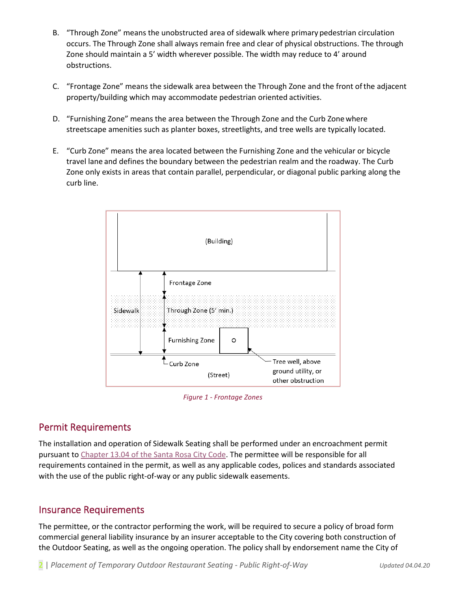- B. "Through Zone" means the unobstructed area of sidewalk where primary pedestrian circulation occurs. The Through Zone shall always remain free and clear of physical obstructions. The through Zone should maintain a 5' width wherever possible. The width may reduce to 4' around obstructions.
- C. "Frontage Zone" means the sidewalk area between the Through Zone and the front ofthe adjacent property/building which may accommodate pedestrian oriented activities.
- D. "Furnishing Zone" means the area between the Through Zone and the Curb Zonewhere streetscape amenities such as planter boxes, streetlights, and tree wells are typically located.
- E. "Curb Zone" means the area located between the Furnishing Zone and the vehicular or bicycle travel lane and defines the boundary between the pedestrian realm and the roadway. The Curb Zone only exists in areas that contain parallel, perpendicular, or diagonal public parking along the curb line.



*Figure 1 - Frontage Zones*

### <span id="page-1-0"></span>Permit Requirements

The installation and operation of Sidewalk Seating shall be performed under an encroachment permit pursuant to [Chapter 13.04 of the Santa Rosa City Code.](http://qcode.us/codes/santarosa/view.php?topic=13-13_04&frames=off) The permittee will be responsible for all requirements contained in the permit, as well as any applicable codes, polices and standards associated with the use of the public right-of-way or any public sidewalk easements.

### Insurance Requirements

The permittee, or the contractor performing the work, will be required to secure a policy of broad form commercial general liability insurance by an insurer acceptable to the City covering both construction of the Outdoor Seating, as well as the ongoing operation. The policy shall by endorsement name the City of

2 | *Placement of Temporary Outdoor Restaurant Seating - Public Right-of-Way Updated 04.04.20*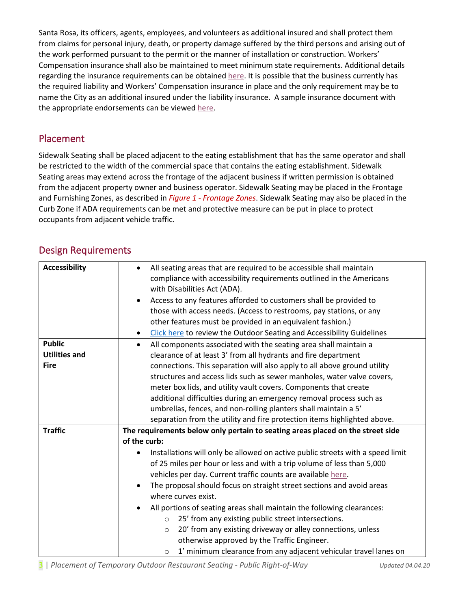Santa Rosa, its officers, agents, employees, and volunteers as additional insured and shall protect them from claims for personal injury, death, or property damage suffered by the third persons and arising out of the work performed pursuant to the permit or the manner of installation or construction. Workers' Compensation insurance shall also be maintained to meet minimum state requirements. Additional details regarding the insurance requirements can be obtained [here.](https://srcity.org/DocumentCenter/View/28329/Encroachment-Permit-Insurance-Requirements) It is possible that the business currently has the required liability and Workers' Compensation insurance in place and the only requirement may be to name the City as an additional insured under the liability insurance. A sample insurance document with the appropriate endorsements can be viewed [here.](https://srcity.org/DocumentCenter/View/28328/Encroachment-Permit-Insurance-Sample)

### Placement

Sidewalk Seating shall be placed adjacent to the eating establishment that has the same operator and shall be restricted to the width of the commercial space that contains the eating establishment. Sidewalk Seating areas may extend across the frontage of the adjacent business if written permission is obtained from the adjacent property owner and business operator. Sidewalk Seating may be placed in the Frontage and Furnishing Zones, as described in *Figure 1 - [Frontage Zones](#page-1-0)*. Sidewalk Seating may also be placed in the Curb Zone if ADA requirements can be met and protective measure can be put in place to protect occupants from adjacent vehicle traffic.

# Design Requirements

| <b>Accessibility</b> | All seating areas that are required to be accessible shall maintain<br>compliance with accessibility requirements outlined in the Americans<br>with Disabilities Act (ADA).<br>Access to any features afforded to customers shall be provided to<br>those with access needs. (Access to restrooms, pay stations, or any<br>other features must be provided in an equivalent fashion.)<br>Click here to review the Outdoor Seating and Accessibility Guidelines<br>$\bullet$ |
|----------------------|-----------------------------------------------------------------------------------------------------------------------------------------------------------------------------------------------------------------------------------------------------------------------------------------------------------------------------------------------------------------------------------------------------------------------------------------------------------------------------|
| <b>Public</b>        | All components associated with the seating area shall maintain a<br>$\bullet$                                                                                                                                                                                                                                                                                                                                                                                               |
| <b>Utilities and</b> | clearance of at least 3' from all hydrants and fire department                                                                                                                                                                                                                                                                                                                                                                                                              |
| <b>Fire</b>          | connections. This separation will also apply to all above ground utility                                                                                                                                                                                                                                                                                                                                                                                                    |
|                      | structures and access lids such as sewer manholes, water valve covers,                                                                                                                                                                                                                                                                                                                                                                                                      |
|                      | meter box lids, and utility vault covers. Components that create                                                                                                                                                                                                                                                                                                                                                                                                            |
|                      | additional difficulties during an emergency removal process such as                                                                                                                                                                                                                                                                                                                                                                                                         |
|                      | umbrellas, fences, and non-rolling planters shall maintain a 5'                                                                                                                                                                                                                                                                                                                                                                                                             |
|                      | separation from the utility and fire protection items highlighted above.                                                                                                                                                                                                                                                                                                                                                                                                    |
| <b>Traffic</b>       | The requirements below only pertain to seating areas placed on the street side                                                                                                                                                                                                                                                                                                                                                                                              |
|                      | of the curb:                                                                                                                                                                                                                                                                                                                                                                                                                                                                |
|                      | Installations will only be allowed on active public streets with a speed limit                                                                                                                                                                                                                                                                                                                                                                                              |
|                      | of 25 miles per hour or less and with a trip volume of less than 5,000                                                                                                                                                                                                                                                                                                                                                                                                      |
|                      | vehicles per day. Current traffic counts are available here.                                                                                                                                                                                                                                                                                                                                                                                                                |
|                      | The proposal should focus on straight street sections and avoid areas                                                                                                                                                                                                                                                                                                                                                                                                       |
|                      | where curves exist.                                                                                                                                                                                                                                                                                                                                                                                                                                                         |
|                      | All portions of seating areas shall maintain the following clearances:                                                                                                                                                                                                                                                                                                                                                                                                      |
|                      | 25' from any existing public street intersections.<br>$\circ$                                                                                                                                                                                                                                                                                                                                                                                                               |
|                      | 20' from any existing driveway or alley connections, unless<br>$\circ$                                                                                                                                                                                                                                                                                                                                                                                                      |
|                      | otherwise approved by the Traffic Engineer.                                                                                                                                                                                                                                                                                                                                                                                                                                 |
|                      | 1' minimum clearance from any adjacent vehicular travel lanes on<br>$\circ$                                                                                                                                                                                                                                                                                                                                                                                                 |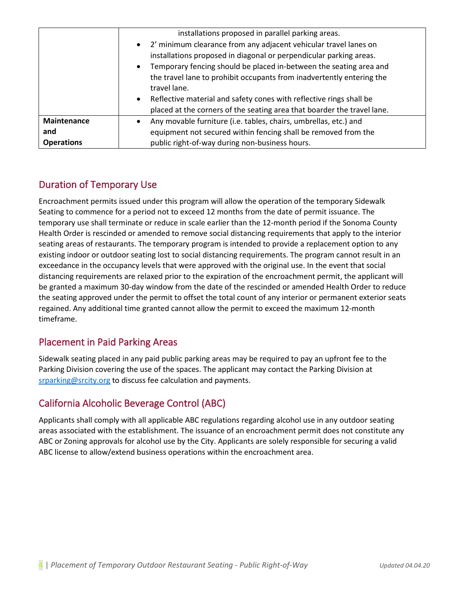|                    | installations proposed in parallel parking areas.<br>• 2' minimum clearance from any adjacent vehicular travel lanes on<br>installations proposed in diagonal or perpendicular parking areas.<br>Temporary fencing should be placed in-between the seating area and<br>$\bullet$<br>the travel lane to prohibit occupants from inadvertently entering the<br>travel lane. |
|--------------------|---------------------------------------------------------------------------------------------------------------------------------------------------------------------------------------------------------------------------------------------------------------------------------------------------------------------------------------------------------------------------|
|                    | Reflective material and safety cones with reflective rings shall be<br>$\bullet$<br>placed at the corners of the seating area that boarder the travel lane.                                                                                                                                                                                                               |
| <b>Maintenance</b> | Any movable furniture (i.e. tables, chairs, umbrellas, etc.) and<br>$\bullet$                                                                                                                                                                                                                                                                                             |
| and                | equipment not secured within fencing shall be removed from the                                                                                                                                                                                                                                                                                                            |
| <b>Operations</b>  | public right-of-way during non-business hours.                                                                                                                                                                                                                                                                                                                            |

# Duration of Temporary Use

Encroachment permits issued under this program will allow the operation of the temporary Sidewalk Seating to commence for a period not to exceed 12 months from the date of permit issuance. The temporary use shall terminate or reduce in scale earlier than the 12-month period if the Sonoma County Health Order is rescinded or amended to remove social distancing requirements that apply to the interior seating areas of restaurants. The temporary program is intended to provide a replacement option to any existing indoor or outdoor seating lost to social distancing requirements. The program cannot result in an exceedance in the occupancy levels that were approved with the original use. In the event that social distancing requirements are relaxed prior to the expiration of the encroachment permit, the applicant will be granted a maximum 30-day window from the date of the rescinded or amended Health Order to reduce the seating approved under the permit to offset the total count of any interior or permanent exterior seats regained. Any additional time granted cannot allow the permit to exceed the maximum 12-month timeframe.

### Placement in Paid Parking Areas

Sidewalk seating placed in any paid public parking areas may be required to pay an upfront fee to the Parking Division covering the use of the spaces. The applicant may contact the Parking Division at [srparking@srcity.org](mailto:srparking@srcity.org) to discuss fee calculation and payments.

# California Alcoholic Beverage Control (ABC)

Applicants shall comply with all applicable ABC regulations regarding alcohol use in any outdoor seating areas associated with the establishment. The issuance of an encroachment permit does not constitute any ABC or Zoning approvals for alcohol use by the City. Applicants are solely responsible for securing a valid ABC license to allow/extend business operations within the encroachment area.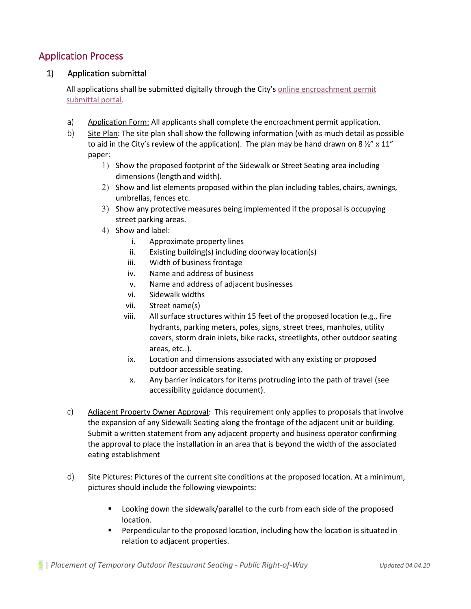#### Application Process

#### 1) Application submittal

All applications shall be submitted digitally through the City's [online encroachment permit](https://app.oncamino.com/santarosa-ca/login)  [submittal portal.](https://app.oncamino.com/santarosa-ca/login)

- a) Application Form: All applicants shall complete the encroachment permit application.
- b) Site Plan: The site plan shall show the following information (with as much detail as possible to aid in the City's review of the application). The plan may be hand drawn on 8  $\frac{1}{2}$ " x 11" paper:
	- 1) Show the proposed footprint of the Sidewalk or Street Seating area including dimensions (length and width).
	- 2) Show and list elements proposed within the plan including tables, chairs, awnings, umbrellas, fences etc.
	- 3) Show any protective measures being implemented if the proposal is occupying street parking areas.
	- 4) Show and label:
		- i. Approximate property lines
		- ii. Existing building(s) including doorway location(s)
		- iii. Width of business frontage
		- iv. Name and address of business
		- v. Name and address of adjacent businesses
		- vi. Sidewalk widths
		- vii. Street name(s)
		- viii. All surface structures within 15 feet of the proposed location (e.g., fire hydrants, parking meters, poles, signs, street trees, manholes, utility covers, storm drain inlets, bike racks, streetlights, other outdoor seating areas, etc..).
		- ix. Location and dimensions associated with any existing or proposed outdoor accessible seating.
		- x. Any barrier indicators for items protruding into the path of travel (see accessibility guidance document).
- c) Adjacent Property Owner Approval: This requirement only applies to proposals that involve the expansion of any Sidewalk Seating along the frontage of the adjacent unit or building. Submit a written statement from any adjacent property and business operator confirming the approval to place the installation in an area that is beyond the width of the associated eating establishment
- d) Site Pictures: Pictures of the current site conditions at the proposed location. At a minimum, pictures should include the following viewpoints:
	- **Looking down the sidewalk/parallel to the curb from each side of the proposed** location.
	- **Perpendicular to the proposed location, including how the location is situated in** relation to adjacent properties.